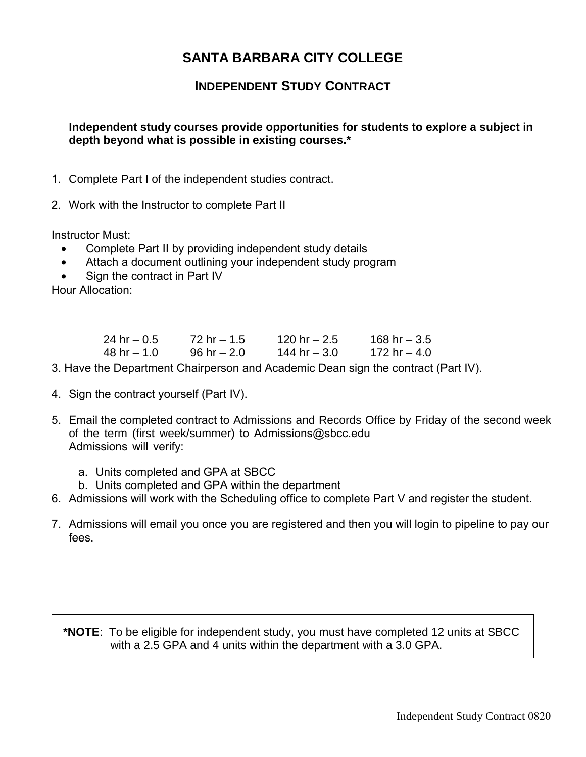## **SANTA BARBARA CITY COLLEGE**

## **INDEPENDENT STUDY CONTRACT**

## **Independent study courses provide opportunities for students to explore a subject in depth beyond what is possible in existing courses.\***

- 1. Complete Part I of the independent studies contract.
- 2. Work with the Instructor to complete Part II

Instructor Must:

- Complete Part II by providing independent study details
- Attach a document outlining your independent study program
- Sign the contract in Part IV

Hour Allocation:

| 24 hr – 0.5 | $72$ hr $- 1.5$ | 120 hr $- 2.5$ | 168 hr $-3.5$ |
|-------------|-----------------|----------------|---------------|
| 48 hr – 1.0 | 96 hr $- 2.0$   | 144 hr $-3.0$  | 172 hr – 4.0  |

3. Have the Department Chairperson and Academic Dean sign the contract (Part IV).

- 4. Sign the contract yourself (Part IV).
- 5. Email the completed contract to Admissions and Records Office by Friday of the second week of the term (first week/summer) to Admissions@sbcc.edu Admissions will verify:
	- a. Units completed and GPA at SBCC
	- b. Units completed and GPA within the department
- 6. Admissions will work with the Scheduling office to complete Part V and register the student.
- 7. Admissions will email you once you are registered and then you will login to pipeline to pay our fees.

**\*NOTE**: To be eligible for independent study, you must have completed 12 units at SBCC with a 2.5 GPA and 4 units within the department with a 3.0 GPA.